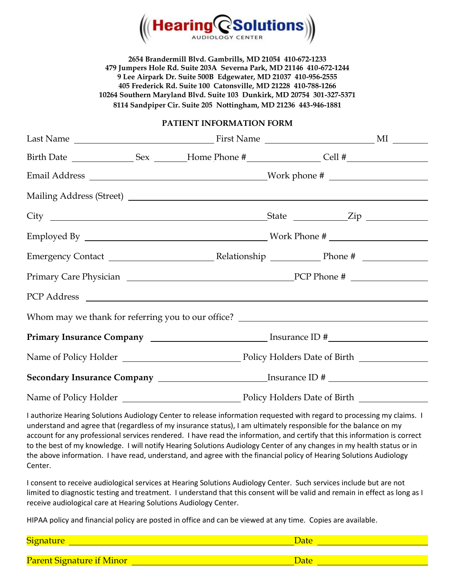

**2654 Brandermill Blvd. Gambrills, MD 21054 410-672-1233 479 Jumpers Hole Rd. Suite 203A Severna Park, MD 21146 410-672-1244 9 Lee Airpark Dr. Suite 500B Edgewater, MD 21037 410-956-2555 405 Frederick Rd. Suite 100 Catonsville, MD 21228 410-788-1266 10264 Southern Maryland Blvd. Suite 103 Dunkirk, MD 20754 301-327-5371 8114 Sandpiper Cir. Suite 205 Nottingham, MD 21236 443-946-1881**

### **PATIENT INFORMATION FORM**

|  | PCP Address PCP Address                                                           |  |  |
|--|-----------------------------------------------------------------------------------|--|--|
|  | Whom may we thank for referring you to our office? ______________________________ |  |  |
|  |                                                                                   |  |  |
|  |                                                                                   |  |  |
|  |                                                                                   |  |  |
|  |                                                                                   |  |  |

I authorize Hearing Solutions Audiology Center to release information requested with regard to processing my claims. I understand and agree that (regardless of my insurance status), I am ultimately responsible for the balance on my account for any professional services rendered. I have read the information, and certify that this information is correct to the best of my knowledge. I will notify Hearing Solutions Audiology Center of any changes in my health status or in the above information. I have read, understand, and agree with the financial policy of Hearing Solutions Audiology Center.

I consent to receive audiological services at Hearing Solutions Audiology Center. Such services include but are not limited to diagnostic testing and treatment. I understand that this consent will be valid and remain in effect as long as I receive audiological care at Hearing Solutions Audiology Center.

HIPAA policy and financial policy are posted in office and can be viewed at any time. Copies are available.

| <b>Signature</b>                 |      |
|----------------------------------|------|
|                                  |      |
| <b>Parent Signature if Minor</b> | Jate |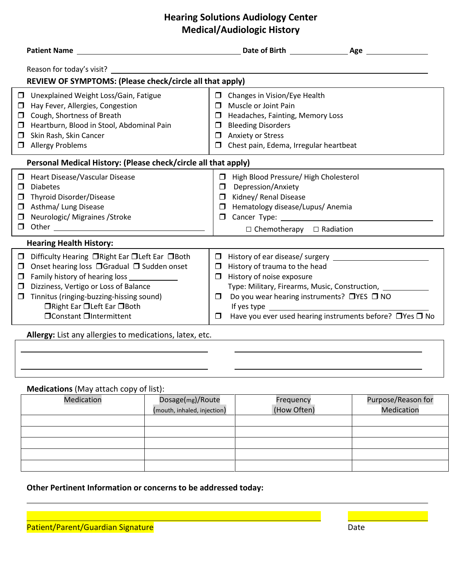## **Hearing Solutions Audiology Center Medical/Audiologic History**

|                                | <b>Patient Name</b>                                                                                                                                                                                                                                                                                    |                                      | Date of Birth Age                                                                                                                                                                                                                                                                                                                              |  |  |  |
|--------------------------------|--------------------------------------------------------------------------------------------------------------------------------------------------------------------------------------------------------------------------------------------------------------------------------------------------------|--------------------------------------|------------------------------------------------------------------------------------------------------------------------------------------------------------------------------------------------------------------------------------------------------------------------------------------------------------------------------------------------|--|--|--|
|                                | Reason for today's visit?<br>REVIEW OF SYMPTOMS: (Please check/circle all that apply)                                                                                                                                                                                                                  |                                      |                                                                                                                                                                                                                                                                                                                                                |  |  |  |
| $\Box$<br>0<br>0               | □ Unexplained Weight Loss/Gain, Fatigue<br>Hay Fever, Allergies, Congestion<br>Cough, Shortness of Breath<br>Heartburn, Blood in Stool, Abdominal Pain<br>Skin Rash, Skin Cancer<br>Allergy Problems                                                                                                   | $\Box$<br>П<br>П<br>П<br>□<br>$\Box$ | Changes in Vision/Eye Health<br>Muscle or Joint Pain<br>Headaches, Fainting, Memory Loss<br><b>Bleeding Disorders</b><br><b>Anxiety or Stress</b><br>Chest pain, Edema, Irregular heartbeat                                                                                                                                                    |  |  |  |
|                                | Personal Medical History: (Please check/circle all that apply)                                                                                                                                                                                                                                         |                                      |                                                                                                                                                                                                                                                                                                                                                |  |  |  |
| $\Box$<br>0<br>$\Box$          | Heart Disease/Vascular Disease<br><b>Diabetes</b><br>Thyroid Disorder/Disease<br>Asthma/ Lung Disease<br>$\Box$ Neurologic/ Migraines / Stroke<br>$\Box$ Other $\Box$                                                                                                                                  | $\Box$                               | $\Box$ High Blood Pressure/High Cholesterol<br>Depression/Anxiety<br>Kidney/ Renal Disease<br>$\Box$<br>Hematology disease/Lupus/ Anemia<br>$\Box$ Cancer Type: $\Box$<br>$\Box$ Chemotherapy $\Box$ Radiation                                                                                                                                 |  |  |  |
| <b>Hearing Health History:</b> |                                                                                                                                                                                                                                                                                                        |                                      |                                                                                                                                                                                                                                                                                                                                                |  |  |  |
| $\Box$<br>$\Box$               | □ Difficulty Hearing □ Right Ear □ Left Ear □ Both<br>Onset hearing loss □ Gradual □ Sudden onset<br>$\Box$ Family history of hearing loss $\Box$<br>Dizziness, Vertigo or Loss of Balance<br>□ Tinnitus (ringing-buzzing-hissing sound)<br>□ Right Ear □ Left Ear □ Both<br>□ Constant □ Intermittent | ◻<br>$\Box$<br>$\Box$<br>$\Box$      | History of trauma to the head<br>History of noise exposure<br>Type: Military, Firearms, Music, Construction, 1986<br>Do you wear hearing instruments? □YES □ NO<br>If yes type and the state of the state of the state of the state of the state of the state of the state of the<br>Have you ever used hearing instruments before? □ Yes □ No |  |  |  |
|                                | Allergy: List any allergies to medications, latex, etc.                                                                                                                                                                                                                                                |                                      |                                                                                                                                                                                                                                                                                                                                                |  |  |  |

# **Medications** (May attach copy of list):

| <b>Medication</b> | Dosage(mg)/Route<br>(mouth, inhaled, injection) | Frequency<br>(How Often) | Purpose/Reason for<br>Medication |
|-------------------|-------------------------------------------------|--------------------------|----------------------------------|
|                   |                                                 |                          |                                  |
|                   |                                                 |                          |                                  |
|                   |                                                 |                          |                                  |
|                   |                                                 |                          |                                  |
|                   |                                                 |                          |                                  |

### **Other Pertinent Information or concerns to be addressed today:**